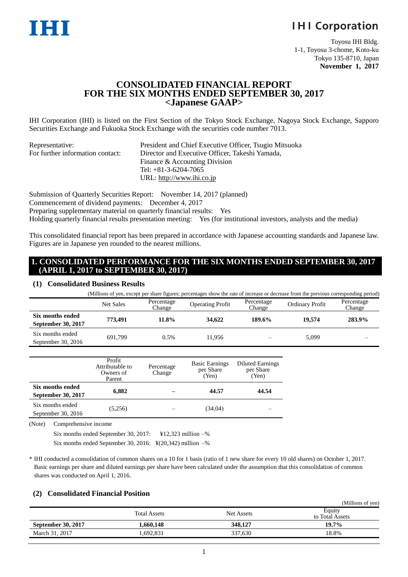# **IHI Corporation**

Toyosu IHI Bldg. 1-1, Toyosu 3-chome, Koto-ku Tokyo 135-8710, Japan **November 1, 2017**

 $\mathcal{L}$  is given

# **CONSOLIDATED FINANCIAL REPORT FOR THE SIX MONTHS ENDED SEPTEMBER 30, 2017 <Japanese GAAP>**

IHI Corporation (IHI) is listed on the First Section of the Tokyo Stock Exchange, Nagoya Stock Exchange, Sapporo Securities Exchange and Fukuoka Stock Exchange with the securities code number 7013.

| Representative:                  | President and Chief Executive Officer, Tsugio Mitsuoka |
|----------------------------------|--------------------------------------------------------|
| For further information contact: | Director and Executive Officer, Takeshi Yamada,        |
|                                  | Finance & Accounting Division                          |
|                                  | Tel: $+81-3-6204-7065$                                 |
|                                  | URL: http://www.ihi.co.jp                              |

Submission of Quarterly Securities Report: November 14, 2017 (planned) Commencement of dividend payments: December 4, 2017 Preparing supplementary material on quarterly financial results: Yes Holding quarterly financial results presentation meeting: Yes (for institutional investors, analysts and the media)

This consolidated financial report has been prepared in accordance with Japanese accounting standards and Japanese law. Figures are in Japanese yen rounded to the nearest millions.

## **1. CONSOLIDATED PERFORMANCE FOR THE SIX MONTHS ENDED SEPTEMBER 30, 2017 (APRIL 1, 2017 to SEPTEMBER 30, 2017)**

#### **(1) Consolidated Business Results**

|                                          |                  |                      | (Millions of yen, except per share figures; percentages show the rate of increase or decrease from the previous corresponding period) |                      |                 |                      |
|------------------------------------------|------------------|----------------------|---------------------------------------------------------------------------------------------------------------------------------------|----------------------|-----------------|----------------------|
|                                          | <b>Net Sales</b> | Percentage<br>Change | <b>Operating Profit</b>                                                                                                               | Percentage<br>Change | Ordinary Profit | Percentage<br>Change |
| Six months ended<br>September 30, 2017   | 773.491          | 11.8%                | 34,622                                                                                                                                | 189.6%               | 19.574          | 283.9%               |
| Six months ended<br>September 30, $2016$ | 691.799          | 0.5%                 | 11.956                                                                                                                                |                      | 5,099           |                      |

|                                        | Profit<br>Attributable to<br>Owners of<br>Parent | Percentage<br>Change | <b>Basic Earnings</b><br>per Share<br>(Yen) | <b>Diluted Earnings</b><br>per Share<br>(Yen) |
|----------------------------------------|--------------------------------------------------|----------------------|---------------------------------------------|-----------------------------------------------|
| Six months ended<br>September 30, 2017 | 6.882                                            |                      | 44.57                                       | 44.54                                         |
| Six months ended<br>September 30, 2016 | (5,256)                                          |                      | (34.04)                                     |                                               |

(Note) Comprehensive income

| Six months ended September 30, 2017:                                     | $\text{\#12,323}$ million $-\%$ |
|--------------------------------------------------------------------------|---------------------------------|
| Six months ended September 30, 2016: $\frac{1}{2}(20,342)$ million $-$ % |                                 |

\* IHI conducted a consolidation of common shares on a 10 for 1 basis (ratio of 1 new share for every 10 old shares) on October 1, 2017. Basic earnings per share and diluted earnings per share have been calculated under the assumption that this consolidation of common shares was conducted on April 1, 2016.

#### **(2) Consolidated Financial Position**

|                           |                     |                   | (Millions of yen)         |
|---------------------------|---------------------|-------------------|---------------------------|
|                           | <b>Total Assets</b> | <b>Net Assets</b> | Equity<br>to Total Assets |
| <b>September 30, 2017</b> | 1.660.148           | 348.127           | 19.7%                     |
| March 31, 2017            | .692.831            | 337,630           | 18.8%                     |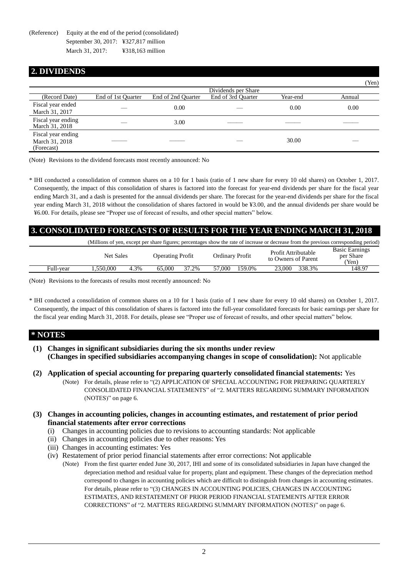(Reference) Equity at the end of the period (consolidated) September 30, 2017: ¥327,817 million March 31, 2017: ¥318,163 million

# **2. DIVIDENDS**

|                                                    |                    |                    |                     |          | ren)   |
|----------------------------------------------------|--------------------|--------------------|---------------------|----------|--------|
|                                                    |                    |                    | Dividends per Share |          |        |
| (Record Date)                                      | End of 1st Quarter | End of 2nd Quarter | End of 3rd Quarter  | Year-end | Annual |
| Fiscal year ended<br>March 31, 2017                |                    | 0.00               |                     | 0.00     | 0.00   |
| Fiscal year ending<br>March 31, 2018               |                    | 3.00               |                     |          |        |
| Fiscal year ending<br>March 31, 2018<br>(Forecast) |                    |                    |                     | 30.00    |        |

 $(TZ)$ 

(Note) Revisions to the dividend forecasts most recently announced: No

\* IHI conducted a consolidation of common shares on a 10 for 1 basis (ratio of 1 new share for every 10 old shares) on October 1, 2017. Consequently, the impact of this consolidation of shares is factored into the forecast for year-end dividends per share for the fiscal year ending March 31, and a dash is presented for the annual dividends per share. The forecast for the year-end dividends per share for the fiscal year ending March 31, 2018 without the consolidation of shares factored in would be ¥3.00, and the annual dividends per share would be ¥6.00. For details, please see "Proper use of forecast of results, and other special matters" below.

# **3. CONSOLIDATED FORECASTS OF RESULTS FOR THE YEAR ENDING MARCH 31, 2018**

|           |                  |      |                         |       |                  | (Millions of yen, except per share figures; percentages show the rate of increase or decrease from the previous corresponding period) |                                             |
|-----------|------------------|------|-------------------------|-------|------------------|---------------------------------------------------------------------------------------------------------------------------------------|---------------------------------------------|
|           | <b>Net Sales</b> |      | <b>Operating Profit</b> |       | Ordinary Profit  | Profit Attributable<br>to Owners of Parent                                                                                            | <b>Basic Earnings</b><br>per Share<br>(Yen) |
| Full-vear | .550.000         | 4.3% | 65.000                  | 37.2% | 159.0%<br>57.000 | 338.3%<br>23.000                                                                                                                      | 148.97                                      |

(Note) Revisions to the forecasts of results most recently announced: No

\* IHI conducted a consolidation of common shares on a 10 for 1 basis (ratio of 1 new share for every 10 old shares) on October 1, 2017. Consequently, the impact of this consolidation of shares is factored into the full-year consolidated forecasts for basic earnings per share for the fiscal year ending March 31, 2018. For details, please see "Proper use of forecast of results, and other special matters" below.

# **\* NOTES**

- **(1) Changes in significant subsidiaries during the six months under review (Changes in specified subsidiaries accompanying changes in scope of consolidation):** Not applicable
- **(2) Application of special accounting for preparing quarterly consolidated financial statements:** Yes
	- (Note) For details, please refer to "(2) APPLICATION OF SPECIAL ACCOUNTING FOR PREPARING QUARTERLY CONSOLIDATED FINANCIAL STATEMENTS" of "2. MATTERS REGARDING SUMMARY INFORMATION (NOTES)" on page [6.](#page-5-0)
- **(3) Changes in accounting policies, changes in accounting estimates, and restatement of prior period financial statements after error corrections**
	- (i) Changes in accounting policies due to revisions to accounting standards: Not applicable
	- (ii) Changes in accounting policies due to other reasons: Yes
	- (iii) Changes in accounting estimates: Yes
	- (iv) Restatement of prior period financial statements after error corrections: Not applicable
		- (Note) From the first quarter ended June 30, 2017, IHI and some of its consolidated subsidiaries in Japan have changed the depreciation method and residual value for property, plant and equipment. These changes of the depreciation method correspond to changes in accounting policies which are difficult to distinguish from changes in accounting estimates. For details, please refer to "(3) CHANGES IN ACCOUNTING POLICIES, CHANGES IN ACCOUNTING ESTIMATES, AND RESTATEMENT OF PRIOR PERIOD FINANCIAL STATEMENTS AFTER ERROR CORRECTIONS" of "2. MATTERS REGARDING SUMMARY INFORMATION (NOTES)" on page [6.](#page-5-1)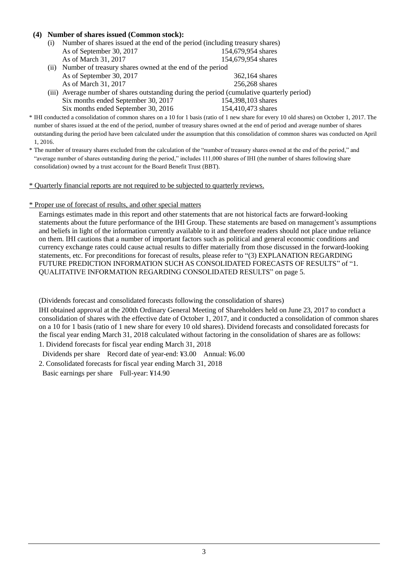## **(4) Number of shares issued (Common stock):**

- (i) Number of shares issued at the end of the period (including treasury shares) As of September 30, 2017 154,679,954 shares As of March 31, 2017 154,679,954 shares
- (ii) Number of treasury shares owned at the end of the period As of September 30, 2017 362,164 shares As of March 31, 2017 256,268 shares
- (iii) Average number of shares outstanding during the period (cumulative quarterly period) Six months ended September 30, 2017 154,398,103 shares Six months ended September 30, 2016 154,410,473 shares
- \* IHI conducted a consolidation of common shares on a 10 for 1 basis (ratio of 1 new share for every 10 old shares) on October 1, 2017. The number of shares issued at the end of the period, number of treasury shares owned at the end of period and average number of shares outstanding during the period have been calculated under the assumption that this consolidation of common shares was conducted on April 1, 2016.
- \* The number of treasury shares excluded from the calculation of the "number of treasury shares owned at the end of the period," and "average number of shares outstanding during the period," includes 111,000 shares of IHI (the number of shares following share consolidation) owned by a trust account for the Board Benefit Trust (BBT).

\* Quarterly financial reports are not required to be subjected to quarterly reviews.

#### \* Proper use of forecast of results, and other special matters

Earnings estimates made in this report and other statements that are not historical facts are forward-looking statements about the future performance of the IHI Group. These statements are based on management's assumptions and beliefs in light of the information currently available to it and therefore readers should not place undue reliance on them. IHI cautions that a number of important factors such as political and general economic conditions and currency exchange rates could cause actual results to differ materially from those discussed in the forward-looking statements, etc. For preconditions for forecast of results, please refer to "(3) EXPLANATION REGARDING FUTURE PREDICTION INFORMATION SUCH AS CONSOLIDATED FORECASTS OF RESULTS" of "1. QUALITATIVE INFORMATION REGARDING CONSOLIDATED RESULTS" on page [5.](#page-4-0)

(Dividends forecast and consolidated forecasts following the consolidation of shares)

IHI obtained approval at the 200th Ordinary General Meeting of Shareholders held on June 23, 2017 to conduct a consolidation of shares with the effective date of October 1, 2017, and it conducted a consolidation of common shares on a 10 for 1 basis (ratio of 1 new share for every 10 old shares). Dividend forecasts and consolidated forecasts for the fiscal year ending March 31, 2018 calculated without factoring in the consolidation of shares are as follows: 1. Dividend forecasts for fiscal year ending March 31, 2018

Dividends per share Record date of year-end: ¥3.00 Annual: ¥6.00

2. Consolidated forecasts for fiscal year ending March 31, 2018

Basic earnings per share Full-year: ¥14.90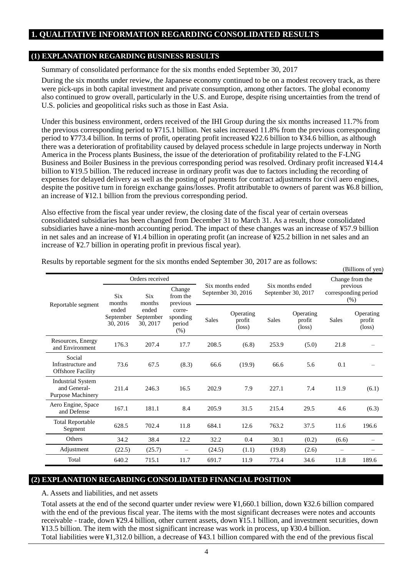# **1. QUALITATIVE INFORMATION REGARDING CONSOLIDATED RESULTS**

### **(1) EXPLANATION REGARDING BUSINESS RESULTS**

Summary of consolidated performance for the six months ended September 30, 2017

During the six months under review, the Japanese economy continued to be on a modest recovery track, as there were pick-ups in both capital investment and private consumption, among other factors. The global economy also continued to grow overall, particularly in the U.S. and Europe, despite rising uncertainties from the trend of U.S. policies and geopolitical risks such as those in East Asia.

Under this business environment, orders received of the IHI Group during the six months increased 11.7% from the previous corresponding period to ¥715.1 billion. Net sales increased 11.8% from the previous corresponding period to ¥773.4 billion. In terms of profit, operating profit increased ¥22.6 billion to ¥34.6 billion, as although there was a deterioration of profitability caused by delayed process schedule in large projects underway in North America in the Process plants Business, the issue of the deterioration of profitability related to the F-LNG Business and Boiler Business in the previous corresponding period was resolved. Ordinary profit increased ¥14.4 billion to ¥19.5 billion. The reduced increase in ordinary profit was due to factors including the recording of expenses for delayed delivery as well as the posting of payments for contract adjustments for civil aero engines, despite the positive turn in foreign exchange gains/losses. Profit attributable to owners of parent was ¥6.8 billion, an increase of ¥12.1 billion from the previous corresponding period.

Also effective from the fiscal year under review, the closing date of the fiscal year of certain overseas consolidated subsidiaries has been changed from December 31 to March 31. As a result, those consolidated subsidiaries have a nine-month accounting period. The impact of these changes was an increase of ¥57.9 billion in net sales and an increase of ¥1.4 billion in operating profit (an increase of ¥25.2 billion in net sales and an increase of ¥2.7 billion in operating profit in previous fiscal year).

|                                                                      |                                |                                                                           |                                        |              |                                        |              |                                        |              | (Billions of yen)                      |  |                                                             |
|----------------------------------------------------------------------|--------------------------------|---------------------------------------------------------------------------|----------------------------------------|--------------|----------------------------------------|--------------|----------------------------------------|--------------|----------------------------------------|--|-------------------------------------------------------------|
|                                                                      | <b>Six</b><br>months           | Orders received<br>Change<br><b>Six</b><br>from the<br>months<br>previous |                                        |              | Six months ended<br>September 30, 2016 |              | Six months ended<br>September 30, 2017 |              |                                        |  | Change from the<br>previous<br>corresponding period<br>(% ) |
| Reportable segment                                                   | ended<br>September<br>30, 2016 | ended<br>September<br>30, 2017                                            | corre-<br>sponding<br>period<br>$(\%)$ | <b>Sales</b> | Operating<br>profit<br>$(\text{loss})$ | <b>Sales</b> | Operating<br>profit<br>$(\text{loss})$ | <b>Sales</b> | Operating<br>profit<br>$(\text{loss})$ |  |                                                             |
| Resources, Energy<br>and Environment                                 | 176.3                          | 207.4                                                                     | 17.7                                   | 208.5        | (6.8)                                  | 253.9        | (5.0)                                  | 21.8         |                                        |  |                                                             |
| Social<br>Infrastructure and<br><b>Offshore Facility</b>             | 73.6                           | 67.5                                                                      | (8.3)                                  | 66.6         | (19.9)                                 | 66.6         | 5.6                                    | 0.1          |                                        |  |                                                             |
| <b>Industrial System</b><br>and General-<br><b>Purpose Machinery</b> | 211.4                          | 246.3                                                                     | 16.5                                   | 202.9        | 7.9                                    | 227.1        | 7.4                                    | 11.9         | (6.1)                                  |  |                                                             |
| Aero Engine, Space<br>and Defense                                    | 167.1                          | 181.1                                                                     | 8.4                                    | 205.9        | 31.5                                   | 215.4        | 29.5                                   | 4.6          | (6.3)                                  |  |                                                             |
| <b>Total Reportable</b><br>Segment                                   | 628.5                          | 702.4                                                                     | 11.8                                   | 684.1        | 12.6                                   | 763.2        | 37.5                                   | 11.6         | 196.6                                  |  |                                                             |
| <b>Others</b>                                                        | 34.2                           | 38.4                                                                      | 12.2                                   | 32.2         | 0.4                                    | 30.1         | (0.2)                                  | (6.6)        |                                        |  |                                                             |
| Adjustment                                                           | (22.5)                         | (25.7)                                                                    | $\overline{\phantom{0}}$               | (24.5)       | (1.1)                                  | (19.8)       | (2.6)                                  |              |                                        |  |                                                             |
| Total                                                                | 640.2                          | 715.1                                                                     | 11.7                                   | 691.7        | 11.9                                   | 773.4        | 34.6                                   | 11.8         | 189.6                                  |  |                                                             |

Results by reportable segment for the six months ended September 30, 2017 are as follows:

# **(2) EXPLANATION REGARDING CONSOLIDATED FINANCIAL POSITION**

A. Assets and liabilities, and net assets

Total assets at the end of the second quarter under review were ¥1,660.1 billion, down ¥32.6 billion compared with the end of the previous fiscal year. The items with the most significant decreases were notes and accounts receivable - trade, down ¥29.4 billion, other current assets, down ¥15.1 billion, and investment securities, down ¥13.5 billion. The item with the most significant increase was work in process, up ¥30.4 billion. Total liabilities were ¥1,312.0 billion, a decrease of ¥43.1 billion compared with the end of the previous fiscal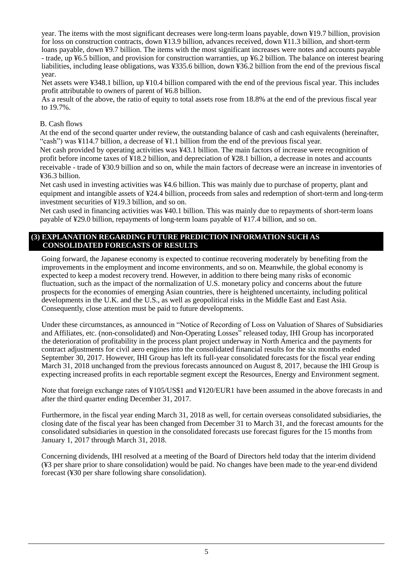year. The items with the most significant decreases were long-term loans payable, down ¥19.7 billion, provision for loss on construction contracts, down ¥13.9 billion, advances received, down ¥11.3 billion, and short-term loans payable, down ¥9.7 billion. The items with the most significant increases were notes and accounts payable - trade, up ¥6.5 billion, and provision for construction warranties, up ¥6.2 billion. The balance on interest bearing liabilities, including lease obligations, was ¥335.6 billion, down ¥36.2 billion from the end of the previous fiscal year.

Net assets were ¥348.1 billion, up ¥10.4 billion compared with the end of the previous fiscal year. This includes profit attributable to owners of parent of ¥6.8 billion.

As a result of the above, the ratio of equity to total assets rose from 18.8% at the end of the previous fiscal year to 19.7%.

## B. Cash flows

At the end of the second quarter under review, the outstanding balance of cash and cash equivalents (hereinafter, "cash") was ¥114.7 billion, a decrease of ¥1.1 billion from the end of the previous fiscal year.

Net cash provided by operating activities was ¥43.1 billion. The main factors of increase were recognition of profit before income taxes of ¥18.2 billion, and depreciation of ¥28.1 billion, a decrease in notes and accounts receivable - trade of ¥30.9 billion and so on, while the main factors of decrease were an increase in inventories of ¥36.3 billion.

Net cash used in investing activities was ¥4.6 billion. This was mainly due to purchase of property, plant and equipment and intangible assets of ¥24.4 billion, proceeds from sales and redemption of short-term and long-term investment securities of ¥19.3 billion, and so on.

Net cash used in financing activities was ¥40.1 billion. This was mainly due to repayments of short-term loans payable of ¥29.0 billion, repayments of long-term loans payable of ¥17.4 billion, and so on.

### <span id="page-4-0"></span>**(3) EXPLANATION REGARDING FUTURE PREDICTION INFORMATION SUCH AS CONSOLIDATED FORECASTS OF RESULTS**

Going forward, the Japanese economy is expected to continue recovering moderately by benefiting from the improvements in the employment and income environments, and so on. Meanwhile, the global economy is expected to keep a modest recovery trend. However, in addition to there being many risks of economic fluctuation, such as the impact of the normalization of U.S. monetary policy and concerns about the future prospects for the economies of emerging Asian countries, there is heightened uncertainty, including political developments in the U.K. and the U.S., as well as geopolitical risks in the Middle East and East Asia. Consequently, close attention must be paid to future developments.

Under these circumstances, as announced in "Notice of Recording of Loss on Valuation of Shares of Subsidiaries and Affiliates, etc. (non-consolidated) and Non-Operating Losses<sup>7</sup> released today, IHI Group has incorporated the deterioration of profitability in the process plant project underway in North America and the payments for contract adjustments for civil aero engines into the consolidated financial results for the six months ended September 30, 2017. However, IHI Group has left its full-year consolidated forecasts for the fiscal year ending March 31, 2018 unchanged from the previous forecasts announced on August 8, 2017, because the IHI Group is expecting increased profits in each reportable segment except the Resources, Energy and Environment segment.

Note that foreign exchange rates of ¥105/US\$1 and ¥120/EUR1 have been assumed in the above forecasts in and after the third quarter ending December 31, 2017.

Furthermore, in the fiscal year ending March 31, 2018 as well, for certain overseas consolidated subsidiaries, the closing date of the fiscal year has been changed from December 31 to March 31, and the forecast amounts for the consolidated subsidiaries in question in the consolidated forecasts use forecast figures for the 15 months from January 1, 2017 through March 31, 2018.

Concerning dividends, IHI resolved at a meeting of the Board of Directors held today that the interim dividend (¥3 per share prior to share consolidation) would be paid. No changes have been made to the year-end dividend forecast (¥30 per share following share consolidation).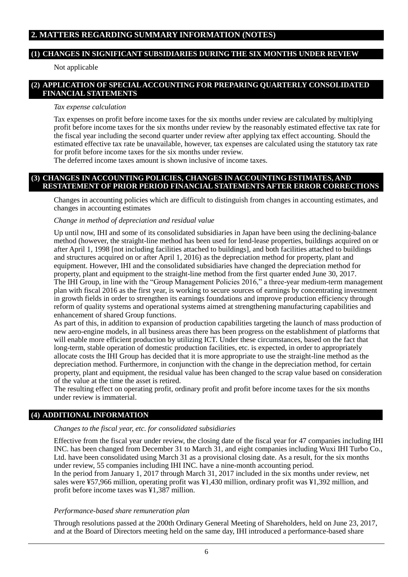# **2. MATTERS REGARDING SUMMARY INFORMATION (NOTES)**

#### **(1) CHANGES IN SIGNIFICANT SUBSIDIARIES DURING THE SIX MONTHS UNDER REVIEW**

Not applicable

## <span id="page-5-0"></span>**(2) APPLICATION OF SPECIAL ACCOUNTING FOR PREPARING QUARTERLY CONSOLIDATED FINANCIAL STATEMENTS**

#### *Tax expense calculation*

Tax expenses on profit before income taxes for the six months under review are calculated by multiplying profit before income taxes for the six months under review by the reasonably estimated effective tax rate for the fiscal year including the second quarter under review after applying tax effect accounting. Should the estimated effective tax rate be unavailable, however, tax expenses are calculated using the statutory tax rate for profit before income taxes for the six months under review.

The deferred income taxes amount is shown inclusive of income taxes.

## <span id="page-5-1"></span>**(3) CHANGES IN ACCOUNTING POLICIES, CHANGES IN ACCOUNTING ESTIMATES, AND RESTATEMENT OF PRIOR PERIOD FINANCIAL STATEMENTS AFTER ERROR CORRECTIONS**

Changes in accounting policies which are difficult to distinguish from changes in accounting estimates, and changes in accounting estimates

#### *Change in method of depreciation and residual value*

Up until now, IHI and some of its consolidated subsidiaries in Japan have been using the declining-balance method (however, the straight-line method has been used for lend-lease properties, buildings acquired on or after April 1, 1998 [not including facilities attached to buildings], and both facilities attached to buildings and structures acquired on or after April 1, 2016) as the depreciation method for property, plant and equipment. However, IHI and the consolidated subsidiaries have changed the depreciation method for property, plant and equipment to the straight-line method from the first quarter ended June 30, 2017. The IHI Group, in line with the "Group Management Policies 2016," a three-year medium-term management plan with fiscal 2016 as the first year, is working to secure sources of earnings by concentrating investment in growth fields in order to strengthen its earnings foundations and improve production efficiency through reform of quality systems and operational systems aimed at strengthening manufacturing capabilities and enhancement of shared Group functions.

As part of this, in addition to expansion of production capabilities targeting the launch of mass production of new aero-engine models, in all business areas there has been progress on the establishment of platforms that will enable more efficient production by utilizing ICT. Under these circumstances, based on the fact that long-term, stable operation of domestic production facilities, etc. is expected, in order to appropriately allocate costs the IHI Group has decided that it is more appropriate to use the straight-line method as the depreciation method. Furthermore, in conjunction with the change in the depreciation method, for certain property, plant and equipment, the residual value has been changed to the scrap value based on consideration of the value at the time the asset is retired.

The resulting effect on operating profit, ordinary profit and profit before income taxes for the six months under review is immaterial.

#### **(4) ADDITIONAL INFORMATION**

#### *Changes to the fiscal year, etc. for consolidated subsidiaries*

Effective from the fiscal year under review, the closing date of the fiscal year for 47 companies including IHI INC. has been changed from December 31 to March 31, and eight companies including Wuxi IHI Turbo Co., Ltd. have been consolidated using March 31 as a provisional closing date. As a result, for the six months under review, 55 companies including IHI INC. have a nine-month accounting period.

In the period from January 1, 2017 through March 31, 2017 included in the six months under review, net sales were ¥57,966 million, operating profit was ¥1,430 million, ordinary profit was ¥1,392 million, and profit before income taxes was ¥1,387 million.

#### *Performance-based share remuneration plan*

Through resolutions passed at the 200th Ordinary General Meeting of Shareholders, held on June 23, 2017, and at the Board of Directors meeting held on the same day, IHI introduced a performance-based share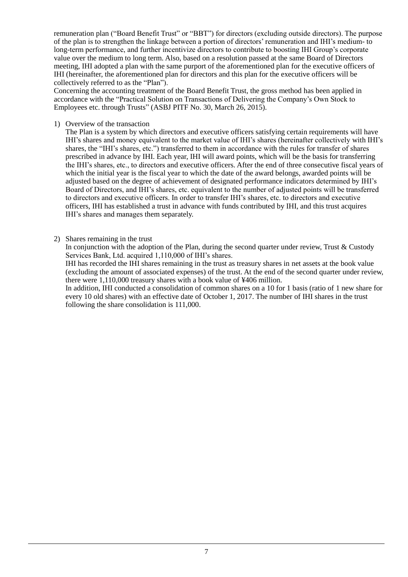remuneration plan ("Board Benefit Trust" or "BBT") for directors (excluding outside directors). The purpose of the plan is to strengthen the linkage between a portion of directors' remuneration and IHI's medium- to long-term performance, and further incentivize directors to contribute to boosting IHI Group's corporate value over the medium to long term. Also, based on a resolution passed at the same Board of Directors meeting, IHI adopted a plan with the same purport of the aforementioned plan for the executive officers of IHI (hereinafter, the aforementioned plan for directors and this plan for the executive officers will be collectively referred to as the "Plan").

Concerning the accounting treatment of the Board Benefit Trust, the gross method has been applied in accordance with the "Practical Solution on Transactions of Delivering the Company's Own Stock to Employees etc. through Trusts" (ASBJ PITF No. 30, March 26, 2015).

1) Overview of the transaction

The Plan is a system by which directors and executive officers satisfying certain requirements will have IHI's shares and money equivalent to the market value of IHI's shares (hereinafter collectively with IHI's shares, the "IHI's shares, etc.") transferred to them in accordance with the rules for transfer of shares prescribed in advance by IHI. Each year, IHI will award points, which will be the basis for transferring the IHI's shares, etc., to directors and executive officers. After the end of three consecutive fiscal years of which the initial year is the fiscal year to which the date of the award belongs, awarded points will be adjusted based on the degree of achievement of designated performance indicators determined by IHI's Board of Directors, and IHI's shares, etc. equivalent to the number of adjusted points will be transferred to directors and executive officers. In order to transfer IHI's shares, etc. to directors and executive officers, IHI has established a trust in advance with funds contributed by IHI, and this trust acquires IHI's shares and manages them separately.

2) Shares remaining in the trust

In conjunction with the adoption of the Plan, during the second quarter under review, Trust & Custody Services Bank, Ltd. acquired 1,110,000 of IHI's shares.

IHI has recorded the IHI shares remaining in the trust as treasury shares in net assets at the book value (excluding the amount of associated expenses) of the trust. At the end of the second quarter under review, there were 1,110,000 treasury shares with a book value of ¥406 million.

In addition, IHI conducted a consolidation of common shares on a 10 for 1 basis (ratio of 1 new share for every 10 old shares) with an effective date of October 1, 2017. The number of IHI shares in the trust following the share consolidation is 111,000.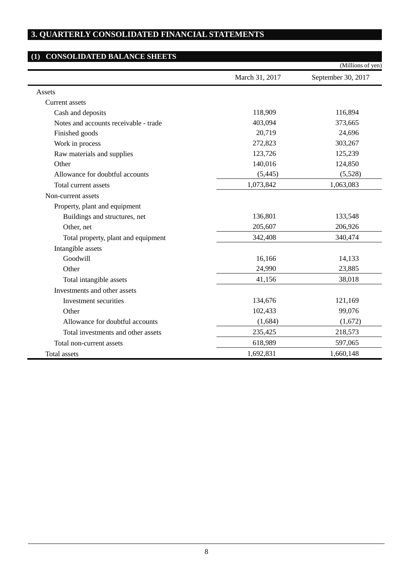# **3. QUARTERLY CONSOLIDATED FINANCIAL STATEMENTS**

# **(1) CONSOLIDATED BALANCE SHEETS**

j.

|                                       |                | (Millions of yen)  |
|---------------------------------------|----------------|--------------------|
|                                       | March 31, 2017 | September 30, 2017 |
| Assets                                |                |                    |
| <b>Current</b> assets                 |                |                    |
| Cash and deposits                     | 118,909        | 116,894            |
| Notes and accounts receivable - trade | 403,094        | 373,665            |
| Finished goods                        | 20,719         | 24,696             |
| Work in process                       | 272,823        | 303,267            |
| Raw materials and supplies            | 123,726        | 125,239            |
| Other                                 | 140,016        | 124,850            |
| Allowance for doubtful accounts       | (5, 445)       | (5,528)            |
| Total current assets                  | 1,073,842      | 1,063,083          |
| Non-current assets                    |                |                    |
| Property, plant and equipment         |                |                    |
| Buildings and structures, net         | 136,801        | 133,548            |
| Other, net                            | 205,607        | 206,926            |
| Total property, plant and equipment   | 342,408        | 340,474            |
| Intangible assets                     |                |                    |
| Goodwill                              | 16,166         | 14,133             |
| Other                                 | 24,990         | 23,885             |
| Total intangible assets               | 41,156         | 38,018             |
| Investments and other assets          |                |                    |
| Investment securities                 | 134,676        | 121,169            |
| Other                                 | 102,433        | 99,076             |
| Allowance for doubtful accounts       | (1,684)        | (1,672)            |
| Total investments and other assets    | 235,425        | 218,573            |
| Total non-current assets              | 618,989        | 597,065            |
| Total assets                          | 1,692,831      | 1,660,148          |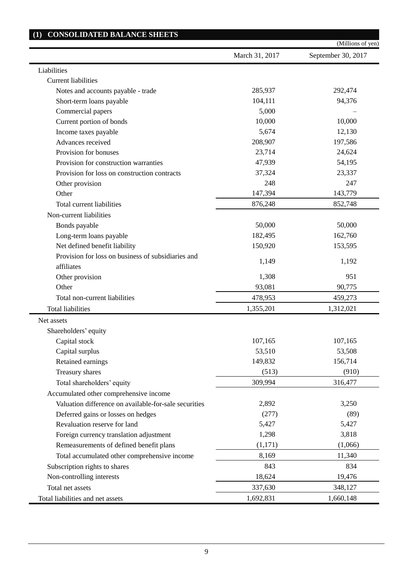|                                                       |                | (Millions of yen)  |
|-------------------------------------------------------|----------------|--------------------|
|                                                       | March 31, 2017 | September 30, 2017 |
| Liabilities                                           |                |                    |
| <b>Current liabilities</b>                            |                |                    |
| Notes and accounts payable - trade                    | 285,937        | 292,474            |
| Short-term loans payable                              | 104,111        | 94,376             |
| Commercial papers                                     | 5,000          |                    |
| Current portion of bonds                              | 10,000         | 10,000             |
| Income taxes payable                                  | 5,674          | 12,130             |
| Advances received                                     | 208,907        | 197,586            |
| Provision for bonuses                                 | 23,714         | 24,624             |
| Provision for construction warranties                 | 47,939         | 54,195             |
| Provision for loss on construction contracts          | 37,324         | 23,337             |
| Other provision                                       | 248            | 247                |
| Other                                                 | 147,394        | 143,779            |
| Total current liabilities                             | 876,248        | 852,748            |
| Non-current liabilities                               |                |                    |
| Bonds payable                                         | 50,000         | 50,000             |
| Long-term loans payable                               | 182,495        | 162,760            |
| Net defined benefit liability                         | 150,920        | 153,595            |
| Provision for loss on business of subsidiaries and    | 1,149          | 1,192              |
| affiliates                                            |                |                    |
| Other provision                                       | 1,308          | 951                |
| Other                                                 | 93,081         | 90,775             |
| Total non-current liabilities                         | 478,953        | 459,273            |
| <b>Total liabilities</b>                              | 1,355,201      | 1,312,021          |
| Net assets                                            |                |                    |
| Shareholders' equity                                  |                |                    |
| Capital stock                                         | 107,165        | 107,165            |
| Capital surplus                                       | 53,510         | 53,508             |
| Retained earnings                                     | 149,832        | 156,714            |
| Treasury shares                                       | (513)          | (910)              |
| Total shareholders' equity                            | 309,994        | 316,477            |
| Accumulated other comprehensive income                |                |                    |
| Valuation difference on available-for-sale securities | 2,892          | 3,250              |
| Deferred gains or losses on hedges                    | (277)          | (89)               |
| Revaluation reserve for land                          | 5,427          | 5,427              |
| Foreign currency translation adjustment               | 1,298          | 3,818              |
| Remeasurements of defined benefit plans               | (1,171)        | (1,066)            |
| Total accumulated other comprehensive income          | 8,169          | 11,340             |
| Subscription rights to shares                         | 843            | 834                |
| Non-controlling interests                             | 18,624         | 19,476             |
| Total net assets                                      | 337,630        | 348,127            |
| Total liabilities and net assets                      | 1,692,831      | 1,660,148          |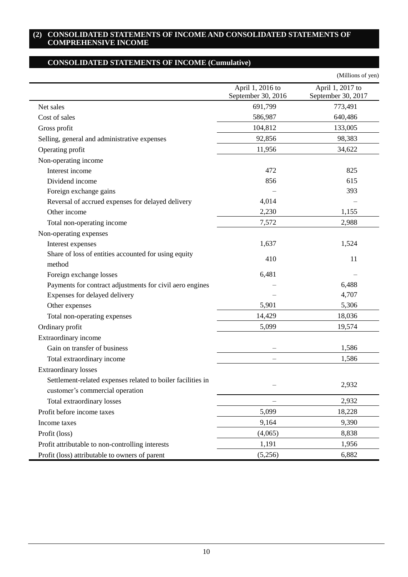## **(2) CONSOLIDATED STATEMENTS OF INCOME AND CONSOLIDATED STATEMENTS OF COMPREHENSIVE INCOME**

# **CONSOLIDATED STATEMENTS OF INCOME (Cumulative)**

|                                                                                                |                                        | (Millions of yen)                      |
|------------------------------------------------------------------------------------------------|----------------------------------------|----------------------------------------|
|                                                                                                | April 1, 2016 to<br>September 30, 2016 | April 1, 2017 to<br>September 30, 2017 |
| Net sales                                                                                      | 691,799                                | 773,491                                |
| Cost of sales                                                                                  | 586,987                                | 640,486                                |
| Gross profit                                                                                   | 104,812                                | 133,005                                |
| Selling, general and administrative expenses                                                   | 92,856                                 | 98,383                                 |
| Operating profit                                                                               | 11,956                                 | 34,622                                 |
| Non-operating income                                                                           |                                        |                                        |
| Interest income                                                                                | 472                                    | 825                                    |
| Dividend income                                                                                | 856                                    | 615                                    |
| Foreign exchange gains                                                                         |                                        | 393                                    |
| Reversal of accrued expenses for delayed delivery                                              | 4,014                                  |                                        |
| Other income                                                                                   | 2,230                                  | 1,155                                  |
| Total non-operating income                                                                     | 7,572                                  | 2,988                                  |
| Non-operating expenses                                                                         |                                        |                                        |
| Interest expenses                                                                              | 1,637                                  | 1,524                                  |
| Share of loss of entities accounted for using equity<br>method                                 | 410                                    | 11                                     |
| Foreign exchange losses                                                                        | 6,481                                  |                                        |
| Payments for contract adjustments for civil aero engines                                       |                                        | 6,488                                  |
| Expenses for delayed delivery                                                                  |                                        | 4,707                                  |
| Other expenses                                                                                 | 5,901                                  | 5,306                                  |
| Total non-operating expenses                                                                   | 14,429                                 | 18,036                                 |
| Ordinary profit                                                                                | 5,099                                  | 19,574                                 |
| Extraordinary income                                                                           |                                        |                                        |
| Gain on transfer of business                                                                   |                                        | 1,586                                  |
| Total extraordinary income                                                                     |                                        | 1,586                                  |
| <b>Extraordinary losses</b>                                                                    |                                        |                                        |
| Settlement-related expenses related to boiler facilities in<br>customer's commercial operation |                                        | 2,932                                  |
| Total extraordinary losses                                                                     |                                        | 2,932                                  |
| Profit before income taxes                                                                     | 5,099                                  | 18,228                                 |
| Income taxes                                                                                   | 9,164                                  | 9,390                                  |
| Profit (loss)                                                                                  | (4,065)                                | 8,838                                  |
| Profit attributable to non-controlling interests                                               | 1,191                                  | 1,956                                  |
| Profit (loss) attributable to owners of parent                                                 | (5,256)                                | 6,882                                  |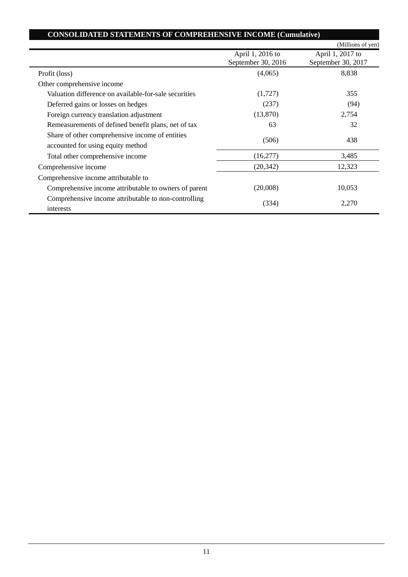| <b>CONSOLIDATED STATEMENTS OF COMPREHENSIVE INCOME (Cumulative)</b>                  |                                        |                                        |
|--------------------------------------------------------------------------------------|----------------------------------------|----------------------------------------|
|                                                                                      |                                        | (Millions of yen)                      |
|                                                                                      | April 1, 2016 to<br>September 30, 2016 | April 1, 2017 to<br>September 30, 2017 |
| Profit (loss)                                                                        | (4,065)                                | 8,838                                  |
| Other comprehensive income                                                           |                                        |                                        |
| Valuation difference on available-for-sale securities                                | (1,727)                                | 355                                    |
| Deferred gains or losses on hedges                                                   | (237)                                  | (94)                                   |
| Foreign currency translation adjustment                                              | (13,870)                               | 2,754                                  |
| Remeasurements of defined benefit plans, net of tax                                  | 63                                     | 32                                     |
| Share of other comprehensive income of entities<br>accounted for using equity method | (506)                                  | 438                                    |
| Total other comprehensive income                                                     | (16,277)                               | 3,485                                  |
| Comprehensive income                                                                 | (20, 342)                              | 12,323                                 |
| Comprehensive income attributable to                                                 |                                        |                                        |
| Comprehensive income attributable to owners of parent                                | (20,008)                               | 10,053                                 |
| Comprehensive income attributable to non-controlling<br>interests                    | (334)                                  | 2,270                                  |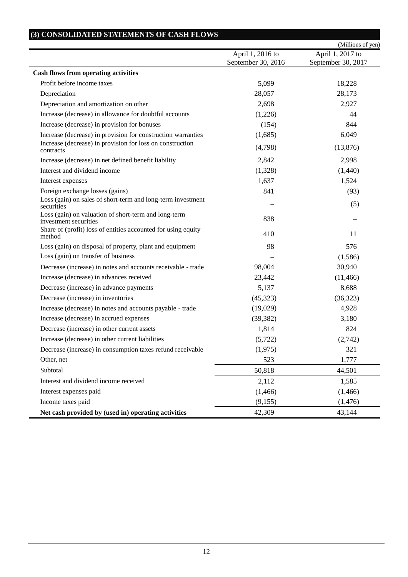|                                                                               |                                        | (Millions of yen)                      |
|-------------------------------------------------------------------------------|----------------------------------------|----------------------------------------|
|                                                                               | April 1, 2016 to<br>September 30, 2016 | April 1, 2017 to<br>September 30, 2017 |
| <b>Cash flows from operating activities</b>                                   |                                        |                                        |
| Profit before income taxes                                                    | 5,099                                  | 18,228                                 |
| Depreciation                                                                  | 28,057                                 | 28,173                                 |
| Depreciation and amortization on other                                        | 2,698                                  | 2,927                                  |
| Increase (decrease) in allowance for doubtful accounts                        | (1,226)                                | 44                                     |
| Increase (decrease) in provision for bonuses                                  | (154)                                  | 844                                    |
| Increase (decrease) in provision for construction warranties                  | (1,685)                                | 6,049                                  |
| Increase (decrease) in provision for loss on construction<br>contracts        | (4,798)                                | (13,876)                               |
| Increase (decrease) in net defined benefit liability                          | 2,842                                  | 2,998                                  |
| Interest and dividend income                                                  | (1,328)                                | (1,440)                                |
| Interest expenses                                                             | 1,637                                  | 1,524                                  |
| Foreign exchange losses (gains)                                               | 841                                    | (93)                                   |
| Loss (gain) on sales of short-term and long-term investment<br>securities     |                                        | (5)                                    |
| Loss (gain) on valuation of short-term and long-term<br>investment securities | 838                                    |                                        |
| Share of (profit) loss of entities accounted for using equity<br>method       | 410                                    | 11                                     |
| Loss (gain) on disposal of property, plant and equipment                      | 98                                     | 576                                    |
| Loss (gain) on transfer of business                                           |                                        | (1,586)                                |
| Decrease (increase) in notes and accounts receivable - trade                  | 98,004                                 | 30,940                                 |
| Increase (decrease) in advances received                                      | 23,442                                 | (11, 466)                              |
| Decrease (increase) in advance payments                                       | 5,137                                  | 8,688                                  |
| Decrease (increase) in inventories                                            | (45, 323)                              | (36,323)                               |
| Increase (decrease) in notes and accounts payable - trade                     | (19,029)                               | 4,928                                  |
| Increase (decrease) in accrued expenses                                       | (39, 382)                              | 3,180                                  |
| Decrease (increase) in other current assets                                   | 1,814                                  | 824                                    |
| Increase (decrease) in other current liabilities                              | (5, 722)                               | (2,742)                                |
| Decrease (increase) in consumption taxes refund receivable                    | (1,975)                                | 321                                    |
| Other, net                                                                    | 523                                    | 1,777                                  |
| Subtotal                                                                      | 50,818                                 | 44,501                                 |
| Interest and dividend income received                                         | 2,112                                  | 1,585                                  |
| Interest expenses paid                                                        | (1,466)                                | (1, 466)                               |
| Income taxes paid                                                             | (9,155)                                | (1, 476)                               |
| Net cash provided by (used in) operating activities                           | 42,309                                 | 43,144                                 |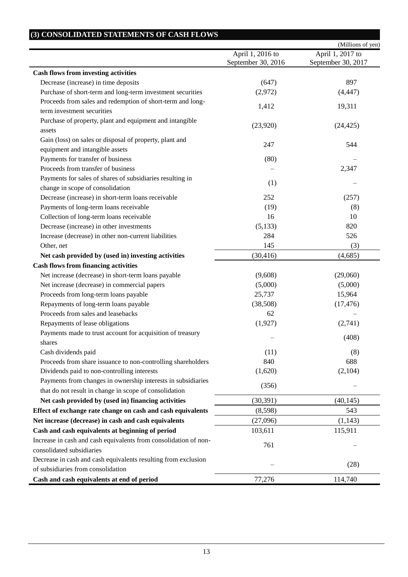|                                                                  | April 1, 2016 to   | (Millions of yen)<br>April 1, 2017 to |
|------------------------------------------------------------------|--------------------|---------------------------------------|
|                                                                  | September 30, 2016 | September 30, 2017                    |
| <b>Cash flows from investing activities</b>                      |                    |                                       |
| Decrease (increase) in time deposits                             | (647)              | 897                                   |
| Purchase of short-term and long-term investment securities       | (2,972)            | (4, 447)                              |
| Proceeds from sales and redemption of short-term and long-       |                    |                                       |
| term investment securities                                       | 1,412              | 19,311                                |
| Purchase of property, plant and equipment and intangible         |                    |                                       |
| assets                                                           | (23,920)           | (24, 425)                             |
| Gain (loss) on sales or disposal of property, plant and          | 247                | 544                                   |
| equipment and intangible assets                                  |                    |                                       |
| Payments for transfer of business                                | (80)               |                                       |
| Proceeds from transfer of business                               |                    | 2,347                                 |
| Payments for sales of shares of subsidiaries resulting in        | (1)                |                                       |
| change in scope of consolidation                                 |                    |                                       |
| Decrease (increase) in short-term loans receivable               | 252                | (257)                                 |
| Payments of long-term loans receivable                           | (19)               | (8)                                   |
| Collection of long-term loans receivable                         | 16                 | 10                                    |
| Decrease (increase) in other investments                         | (5, 133)           | 820                                   |
| Increase (decrease) in other non-current liabilities             | 284                | 526                                   |
| Other, net                                                       | 145                | (3)                                   |
| Net cash provided by (used in) investing activities              | (30, 416)          | (4,685)                               |
| <b>Cash flows from financing activities</b>                      |                    |                                       |
| Net increase (decrease) in short-term loans payable              | (9,608)            | (29,060)                              |
| Net increase (decrease) in commercial papers                     | (5,000)            | (5,000)                               |
| Proceeds from long-term loans payable                            | 25,737             | 15,964                                |
| Repayments of long-term loans payable                            | (38,508)           | (17, 476)                             |
| Proceeds from sales and leasebacks                               | 62                 |                                       |
| Repayments of lease obligations                                  | (1,927)            | (2,741)                               |
| Payments made to trust account for acquisition of treasury       |                    | (408)                                 |
| shares                                                           |                    |                                       |
| Cash dividends paid                                              | (11)               | (8)                                   |
| Proceeds from share issuance to non-controlling shareholders     | 840                | 688                                   |
| Dividends paid to non-controlling interests                      | (1,620)            | (2,104)                               |
| Payments from changes in ownership interests in subsidiaries     | (356)              |                                       |
| that do not result in change in scope of consolidation           |                    |                                       |
| Net cash provided by (used in) financing activities              | (30, 391)          | (40, 145)                             |
| Effect of exchange rate change on cash and cash equivalents      | (8,598)            | 543                                   |
| Net increase (decrease) in cash and cash equivalents             | (27,096)           | (1,143)                               |
| Cash and cash equivalents at beginning of period                 | 103,611            | 115,911                               |
| Increase in cash and cash equivalents from consolidation of non- | 761                |                                       |
| consolidated subsidiaries                                        |                    |                                       |
| Decrease in cash and cash equivalents resulting from exclusion   |                    | (28)                                  |
| of subsidiaries from consolidation                               |                    |                                       |
| Cash and cash equivalents at end of period                       | 77,276             | 114,740                               |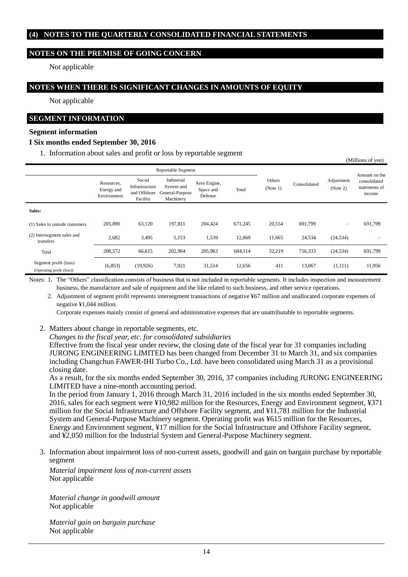## **(4) NOTES TO THE QUARTERLY CONSOLIDATED FINANCIAL STATEMENTS**

## **NOTES ON THE PREMISE OF GOING CONCERN**

Not applicable

### **NOTES WHEN THERE IS SIGNIFICANT CHANGES IN AMOUNTS OF EQUITY**

Not applicable

#### **SEGMENT INFORMATION**

#### **Segment information**

#### **I Six months ended September 30, 2016**

1. Information about sales and profit or loss by reportable segment

|                                                    |                                         |                                                      |                                                          |                                      |         |                    |              |                          | $($ whindoms of $y$ cii)                |
|----------------------------------------------------|-----------------------------------------|------------------------------------------------------|----------------------------------------------------------|--------------------------------------|---------|--------------------|--------------|--------------------------|-----------------------------------------|
| Reportable Segment                                 |                                         |                                                      |                                                          |                                      |         |                    |              | Amount on the            |                                         |
|                                                    | Resources,<br>Energy and<br>Environment | Social<br>Infrastructure<br>and Offshore<br>Facility | Industrial<br>System and<br>General-Purpose<br>Machinery | Aero Engine,<br>Space and<br>Defense | Total   | Others<br>(Note 1) | Consolidated | Adjustment<br>(Note 2)   | consolidated<br>statements of<br>income |
| Sales:                                             |                                         |                                                      |                                                          |                                      |         |                    |              |                          |                                         |
| (1) Sales to outside customers                     | 205,890                                 | 63,120                                               | 197,811                                                  | 204.424                              | 671,245 | 20,554             | 691,799      | $\overline{\phantom{m}}$ | 691,799                                 |
| (2) Intersegment sales and<br>transfers            | 2,682                                   | 3,495                                                | 5,153                                                    | 1,539                                | 12,869  | 11,665             | 24,534       | (24, 534)                |                                         |
| Total                                              | 208,572                                 | 66,615                                               | 202,964                                                  | 205,963                              | 684,114 | 32,219             | 716,333      | (24, 534)                | 691,799                                 |
| Segment profit (loss)<br>(Operating profit (loss)) | (6,853)                                 | (19,926)                                             | 7,921                                                    | 31,514                               | 12,656  | 411                | 13,067       | (1,111)                  | 11,956                                  |

(Millions of yen)

Notes: 1. The "Others" classification consists of business that is not included in reportable segments. It includes inspection and measurement business, the manufacture and sale of equipment and the like related to such business, and other service operations.

2. Adjustment of segment profit represents intersegment transactions of negative ¥67 million and unallocated corporate expenses of negative ¥1,044 million.

Corporate expenses mainly consist of general and administrative expenses that are unattributable to reportable segments.

- 2. Matters about change in reportable segments, etc.
	- *Changes to the fiscal year, etc. for consolidated subsidiaries*

Effective from the fiscal year under review, the closing date of the fiscal year for 31 companies including JURONG ENGINEERING LIMITED has been changed from December 31 to March 31, and six companies including Changchun FAWER-IHI Turbo Co., Ltd. have been consolidated using March 31 as a provisional closing date.

As a result, for the six months ended September 30, 2016, 37 companies including JURONG ENGINEERING LIMITED have a nine-month accounting period.

In the period from January 1, 2016 through March 31, 2016 included in the six months ended September 30, 2016, sales for each segment were ¥10,982 million for the Resources, Energy and Environment segment, ¥371 million for the Social Infrastructure and Offshore Facility segment, and ¥11,781 million for the Industrial System and General-Purpose Machinery segment. Operating profit was ¥615 million for the Resources, Energy and Environment segment, ¥17 million for the Social Infrastructure and Offshore Facility segment, and ¥2,050 million for the Industrial System and General-Purpose Machinery segment.

3. Information about impairment loss of non-current assets, goodwill and gain on bargain purchase by reportable segment

*Material impairment loss of non-current assets* Not applicable

*Material change in goodwill amount* Not applicable

*Material gain on bargain purchase* Not applicable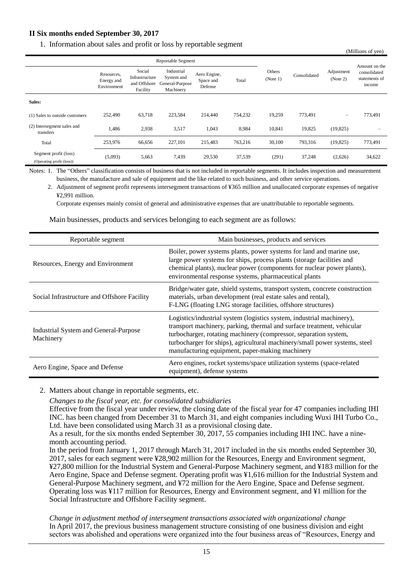# **II Six months ended September 30, 2017**

1. Information about sales and profit or loss by reportable segment

|                                                    |                                         |                                                      |                                                          |                                      |         |                    |              |                        | (Millions of yen)                                        |
|----------------------------------------------------|-----------------------------------------|------------------------------------------------------|----------------------------------------------------------|--------------------------------------|---------|--------------------|--------------|------------------------|----------------------------------------------------------|
|                                                    | <b>Reportable Segment</b>               |                                                      |                                                          |                                      |         |                    |              |                        |                                                          |
|                                                    | Resources,<br>Energy and<br>Environment | Social<br>Infrastructure<br>and Offshore<br>Facility | Industrial<br>System and<br>General-Purpose<br>Machinery | Aero Engine,<br>Space and<br>Defense | Total   | Others<br>(Note 1) | Consolidated | Adjustment<br>(Note 2) | Amount on the<br>consolidated<br>statements of<br>income |
| Sales:                                             |                                         |                                                      |                                                          |                                      |         |                    |              |                        |                                                          |
| (1) Sales to outside customers                     | 252,490                                 | 63,718                                               | 223,584                                                  | 214,440                              | 754,232 | 19,259             | 773,491      | $\qquad \qquad -$      | 773,491                                                  |
| (2) Intersegment sales and<br>transfers            | 1,486                                   | 2,938                                                | 3,517                                                    | 1,043                                | 8,984   | 10,841             | 19,825       | (19,825)               |                                                          |
| Total                                              | 253,976                                 | 66,656                                               | 227,101                                                  | 215,483                              | 763,216 | 30,100             | 793,316      | (19,825)               | 773,491                                                  |
| Segment profit (loss)<br>(Operating profit (loss)) | (5,093)                                 | 5,663                                                | 7,439                                                    | 29,530                               | 37,539  | (291)              | 37,248       | (2,626)                | 34,622                                                   |

Notes: 1. The "Others" classification consists of business that is not included in reportable segments. It includes inspection and measurement business, the manufacture and sale of equipment and the like related to such business, and other service operations.

2. Adjustment of segment profit represents intersegment transactions of ¥365 million and unallocated corporate expenses of negative ¥2,991 million.

Corporate expenses mainly consist of general and administrative expenses that are unattributable to reportable segments.

Main businesses, products and services belonging to each segment are as follows:

| Reportable segment                                 | Main businesses, products and services                                                                                                                                                                                                                                                                                                               |
|----------------------------------------------------|------------------------------------------------------------------------------------------------------------------------------------------------------------------------------------------------------------------------------------------------------------------------------------------------------------------------------------------------------|
| Resources, Energy and Environment                  | Boiler, power systems plants, power systems for land and marine use,<br>large power systems for ships, process plants (storage facilities and<br>chemical plants), nuclear power (components for nuclear power plants),<br>environmental response systems, pharmaceutical plants                                                                     |
| Social Infrastructure and Offshore Facility        | Bridge/water gate, shield systems, transport system, concrete construction<br>materials, urban development (real estate sales and rental),<br>F-LNG (floating LNG storage facilities, offshore structures)                                                                                                                                           |
| Industrial System and General-Purpose<br>Machinery | Logistics/industrial system (logistics system, industrial machinery),<br>transport machinery, parking, thermal and surface treatment, vehicular<br>turbocharger, rotating machinery (compressor, separation system,<br>turbocharger for ships), agricultural machinery/small power systems, steel<br>manufacturing equipment, paper-making machinery |
| Aero Engine, Space and Defense                     | Aero engines, rocket systems/space utilization systems (space-related<br>equipment), defense systems                                                                                                                                                                                                                                                 |

2. Matters about change in reportable segments, etc.

*Changes to the fiscal year, etc. for consolidated subsidiaries*

Effective from the fiscal year under review, the closing date of the fiscal year for 47 companies including IHI INC. has been changed from December 31 to March 31, and eight companies including Wuxi IHI Turbo Co., Ltd. have been consolidated using March 31 as a provisional closing date.

As a result, for the six months ended September 30, 2017, 55 companies including IHI INC. have a ninemonth accounting period.

In the period from January 1, 2017 through March 31, 2017 included in the six months ended September 30, 2017, sales for each segment were ¥28,902 million for the Resources, Energy and Environment segment, ¥27,800 million for the Industrial System and General-Purpose Machinery segment, and ¥183 million for the Aero Engine, Space and Defense segment. Operating profit was ¥1,616 million for the Industrial System and General-Purpose Machinery segment, and ¥72 million for the Aero Engine, Space and Defense segment. Operating loss was ¥117 million for Resources, Energy and Environment segment, and ¥1 million for the Social Infrastructure and Offshore Facility segment.

*Change in adjustment method of intersegment transactions associated with organizational change* In April 2017, the previous business management structure consisting of one business division and eight sectors was abolished and operations were organized into the four business areas of "Resources, Energy and